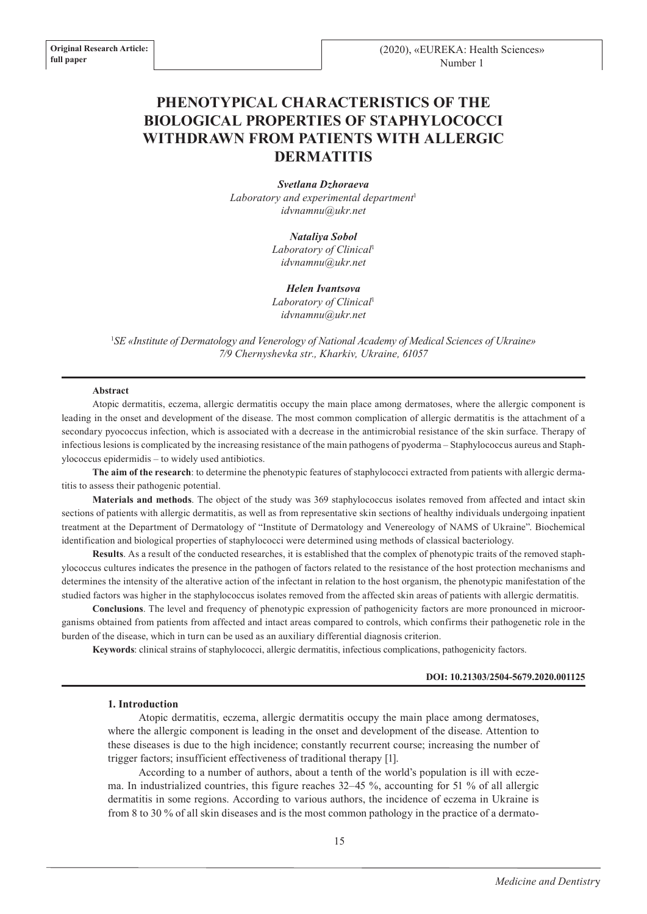# **PHENOTYPICAL CHARACTERISTICS OF THE BIOLOGICAL PROPERTIES OF STAPHYLOCOCCI WITHDRAWN FROM PATIENTS WITH ALLERGIC DERMATITIS**

*Svetlana Dzhoraeva* Laboratory and experimental department<sup>1</sup> *idvnamnu@ukr.net*

> *Nataliya Sobol Laboratory of Сlinical*<sup>1</sup> *idvnamnu@ukr.net*

#### *Helen Ivantsova*

*Laboratory of Сlinical*<sup>1</sup> *idvnamnu@ukr.net*

<sup>1</sup>*SE «Institute of Dermatology and Venerology of National Academy of Medical Sciences of Ukraine» 7/9 Chernyshevka str., Kharkiv, Ukraine, 61057*

#### **Abstract**

Atopic dermatitis, eczema, allergic dermatitis occupy the main place among dermatoses, where the allergic component is leading in the onset and development of the disease. The most common complication of allergic dermatitis is the attachment of a secondary pyococcus infection, which is associated with a decrease in the antimicrobial resistance of the skin surface. Therapy of infectious lesions is complicated by the increasing resistance of the main pathogens of pyoderma – Staphylococcus aureus and Staphylococcus epidermidis – to widely used antibiotics.

**The aim of the research**: to determine the phenotypic features of staphylococci extracted from patients with allergic dermatitis to assess their pathogenic potential.

**Materials and methods**. The object of the study was 369 staphylococcus isolates removed from affected and intact skin sections of patients with allergic dermatitis, as well as from representative skin sections of healthy individuals undergoing inpatient treatment at the Department of Dermatology of "Institute of Dermatology and Venereology of NAMS of Ukraine". Biochemical identification and biological properties of staphylococci were determined using methods of classical bacteriology.

**Results**. As a result of the conducted researches, it is established that the complex of phenotypic traits of the removed staphylococcus cultures indicates the presence in the pathogen of factors related to the resistance of the host protection mechanisms and determines the intensity of the alterative action of the infectant in relation to the host organism, the phenotypic manifestation of the studied factors was higher in the staphylococcus isolates removed from the affected skin areas of patients with allergic dermatitis.

**Conclusions**. The level and frequency of phenotypic expression of pathogenicity factors are more pronounced in microorganisms obtained from patients from affected and intact areas compared to controls, which confirms their pathogenetic role in the burden of the disease, which in turn can be used as an auxiliary differential diagnosis criterion.

**Keywords**: clinical strains of staphylococci, allergic dermatitis, infectious complications, pathogenicity factors.

#### **DOI: 10.21303/2504-5679.2020.001125**

#### **1. Introduction**

Atopic dermatitis, eczema, allergic dermatitis occupy the main place among dermatoses, where the allergic component is leading in the onset and development of the disease. Attention to these diseases is due to the high incidence; constantly recurrent course; increasing the number of trigger factors; insufficient effectiveness of traditional therapy [1].

According to a number of authors, about a tenth of the world's population is ill with eczema. In industrialized countries, this figure reaches 32–45 %, accounting for 51 % of all allergic dermatitis in some regions. According to various authors, the incidence of eczema in Ukraine is from 8 to 30 % of all skin diseases and is the most common pathology in the practice of a dermato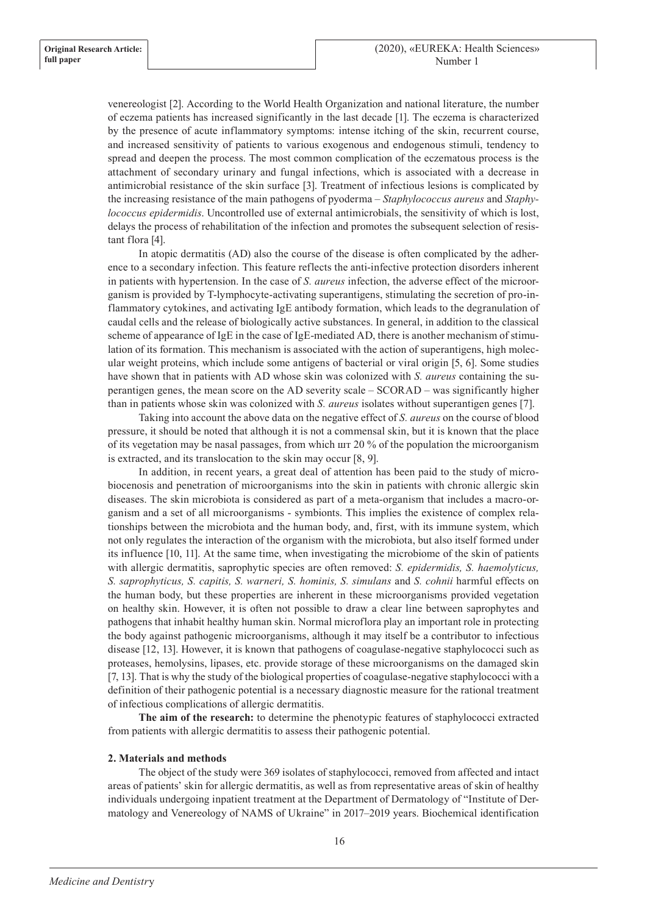venereologist [2]. According to the World Health Organization and national literature, the number of eczema patients has increased significantly in the last decade [1]. The eczema is characterized by the presence of acute inflammatory symptoms: intense itching of the skin, recurrent course, and increased sensitivity of patients to various exogenous and endogenous stimuli, tendency to spread and deepen the process. The most common complication of the eczematous process is the attachment of secondary urinary and fungal infections, which is associated with a decrease in antimicrobial resistance of the skin surface [3]. Treatment of infectious lesions is complicated by the increasing resistance of the main pathogens of pyoderma – *Staphylococcus aureus* and *Staphylococcus epidermidis*. Uncontrolled use of external antimicrobials, the sensitivity of which is lost, delays the process of rehabilitation of the infection and promotes the subsequent selection of resistant flora [4].

In atopic dermatitis (AD) also the course of the disease is often complicated by the adherence to a secondary infection. This feature reflects the anti-infective protection disorders inherent in patients with hypertension. In the case of *S. aureus* infection, the adverse effect of the microorganism is provided by T-lymphocyte-activating superantigens, stimulating the secretion of pro-inflammatory cytokines, and activating IgE antibody formation, which leads to the degranulation of caudal cells and the release of biologically active substances. In general, in addition to the classical scheme of appearance of IgE in the case of IgE-mediated AD, there is another mechanism of stimulation of its formation. This mechanism is associated with the action of superantigens, high molecular weight proteins, which include some antigens of bacterial or viral origin [5, 6]. Some studies have shown that in patients with AD whose skin was colonized with *S. aureus* containing the superantigen genes, the mean score on the AD severity scale – SCORAD – was significantly higher than in patients whose skin was colonized with *S. aureus* isolates without superantigen genes [7].

Taking into account the above data on the negative effect of *S. aureus* on the course of blood pressure, it should be noted that although it is not a commensal skin, but it is known that the place of its vegetation may be nasal passages, from which шт 20 % of the population the microorganism is extracted, and its translocation to the skin may occur [8, 9].

In addition, in recent years, a great deal of attention has been paid to the study of microbiocenosis and penetration of microorganisms into the skin in patients with chronic allergic skin diseases. The skin microbiota is considered as part of a meta-organism that includes a macro-organism and a set of all microorganisms - symbionts. This implies the existence of complex relationships between the microbiota and the human body, and, first, with its immune system, which not only regulates the interaction of the organism with the microbiota, but also itself formed under its influence [10, 11]. At the same time, when investigating the microbiome of the skin of patients with allergic dermatitis, saprophytic species are often removed: *S. epidermidis, S. haemolyticus, S. saprophyticus, S. capitis, S. warneri, S. hominis, S. simulans* and *S. cohnii* harmful effects on the human body, but these properties are inherent in these microorganisms provided vegetation on healthy skin. However, it is often not possible to draw a clear line between saprophytes and pathogens that inhabit healthy human skin. Normal microflora play an important role in protecting the body against pathogenic microorganisms, although it may itself be a contributor to infectious disease [12, 13]. However, it is known that pathogens of coagulase-negative staphylococci such as proteases, hemolysins, lipases, etc. provide storage of these microorganisms on the damaged skin [7, 13]. That is why the study of the biological properties of coagulase-negative staphylococci with a definition of their pathogenic potential is a necessary diagnostic measure for the rational treatment of infectious complications of allergic dermatitis.

**The aim of the research:** to determine the phenotypic features of staphylococci extracted from patients with allergic dermatitis to assess their pathogenic potential.

## **2. Materials and methods**

The object of the study were 369 isolates of staphylococci, removed from affected and intact areas of patients' skin for allergic dermatitis, as well as from representative areas of skin of healthy individuals undergoing inpatient treatment at the Department of Dermatology of "Institute of Dermatology and Venereology of NAMS of Ukraine" in 2017–2019 years. Biochemical identification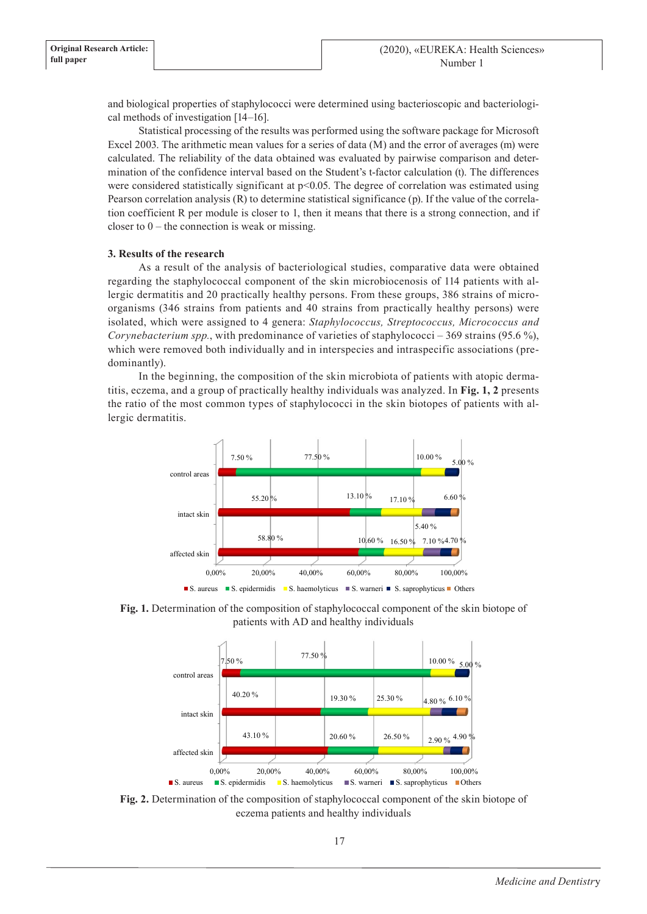and biological properties of staphylococci were determined using bacterioscopic and bacteriological methods of investigation [14–16].

Statistical processing of the results was performed using the software package for Microsoft Excel 2003. The arithmetic mean values for a series of data (M) and the error of averages (m) were calculated. The reliability of the data obtained was evaluated by pairwise comparison and determination of the confidence interval based on the Student's t-factor calculation (t). The differences were considered statistically significant at  $p<0.05$ . The degree of correlation was estimated using Pearson correlation analysis (R) to determine statistical significance (p). If the value of the correlation coefficient R per module is closer to 1, then it means that there is a strong connection, and if closer to  $0$  – the connection is weak or missing.

### **3. Results of the research**

As a result of the analysis of bacteriological studies, comparative data were obtained regarding the staphylococcal component of the skin microbiocenosis of 114 patients with allergic dermatitis and 20 practically healthy persons. From these groups, 386 strains of microorganisms (346 strains from patients and 40 strains from practically healthy persons) were isolated, which were assigned to 4 genera: *Staphylococcus, Streptococcus, Micrococcus and Corynebacterium spp.*, with predominance of varieties of staphylococci – 369 strains (95.6 %), which were removed both individually and in interspecies and intraspecific associations (predominantly).

In the beginning, the composition of the skin microbiota of patients with atopic dermatitis, eczema, and a group of practically healthy individuals was analyzed. In **Fig. 1, 2** presents the ratio of the most common types of staphylococci in the skin biotopes of patients with allergic dermatitis.



**Fig. 1.** Determination of the composition of staphylococcal component of the skin biotope of patients with AD and healthy individuals



**Fig. 2.** Determination of the composition of staphylococcal component of the skin biotope of eczema patients and healthy individuals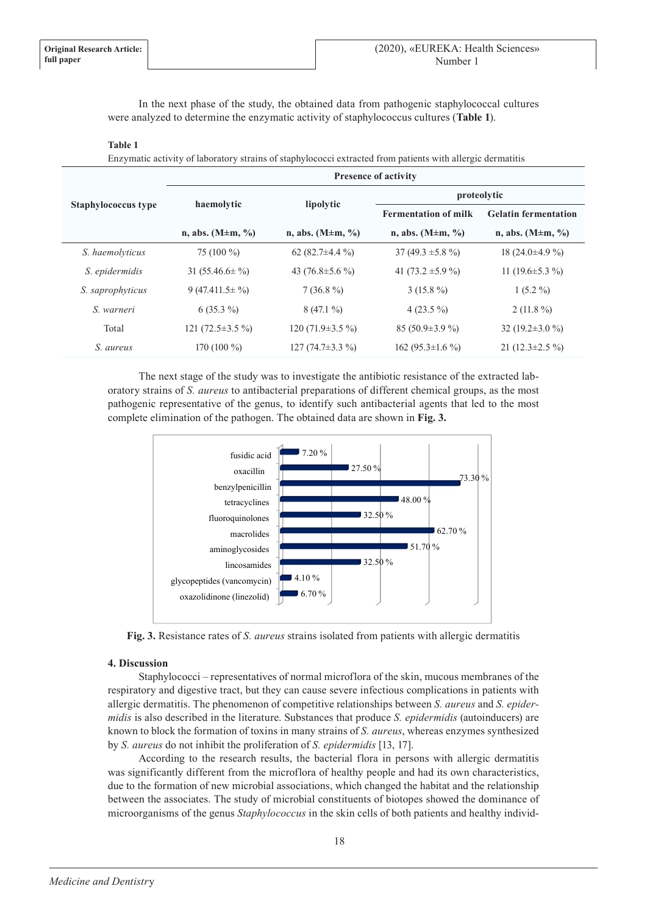In the next phase of the study, the obtained data from pathogenic staphylococcal cultures were analyzed to determine the enzymatic activity of staphylococcus cultures (**Table 1**).

#### **Table 1**

Enzymatic activity of laboratory strains of staphylococci extracted from patients with allergic dermatitis

| <b>Staphylococcus type</b> | <b>Presence of activity</b>      |                                  |                                  |                             |
|----------------------------|----------------------------------|----------------------------------|----------------------------------|-----------------------------|
|                            | haemolytic                       | lipolytic                        | proteolytic                      |                             |
|                            |                                  |                                  | <b>Fermentation of milk</b>      | <b>Gelatin fermentation</b> |
|                            | n, abs. $(M \pm m, \frac{9}{9})$ | n, abs. $(M \pm m, \frac{9}{9})$ | n, abs. $(M \pm m, \frac{9}{9})$ | n, abs. $(M \pm m, \%)$     |
| S. haemolyticus            | 75 $(100\%)$                     | 62 $(82.7\pm4.4\%)$              | 37 (49.3 $\pm$ 5.8 %)            | 18 $(24.0\pm4.9\%)$         |
| S. epidermidis             | 31 $(55.46.6 \pm \frac{9}{0})$   | 43 $(76.8 \pm 5.6 \%)$           | 41 $(73.2 \pm 5.9 \%)$           | 11 (19.6 $\pm$ 5.3 %)       |
| S. saprophyticus           | $9(47.411.5 \pm \frac{9}{0})$    | $7(36.8\%)$                      | $3(15.8\%)$                      | $1(5.2\%)$                  |
| S. warneri                 | $6(35.3\%)$                      | $8(47.1\%)$                      | $4(23.5\%)$                      | $2(11.8\%)$                 |
| Total                      | 121 $(72.5 \pm 3.5 \%)$          | 120 (71.9 $\pm$ 3.5 %)           | 85 $(50.9 \pm 3.9 \%)$           | 32 (19.2 $\pm$ 3.0 %)       |
| S. aureus                  | 170 $(100\%)$                    | 127 $(74.7\pm3.3\%)$             | 162 (95.3 $\pm$ 1.6 %)           | 21 $(12.3 \pm 2.5 \%)$      |

The next stage of the study was to investigate the antibiotic resistance of the extracted laboratory strains of *S. aureus* to antibacterial preparations of different chemical groups, as the most pathogenic representative of the genus, to identify such antibacterial agents that led to the most complete elimination of the pathogen. The obtained data are shown in **Fig. 3.**



**Fig. 3.** Resistance rates of *S. aureus* strains isolated from patients with allergic dermatitis

#### **4. Discussion**

Staphylococci – representatives of normal microflora of the skin, mucous membranes of the respiratory and digestive tract, but they can cause severe infectious complications in patients with allergic dermatitis. The phenomenon of competitive relationships between *S. aureus* and *S. epidermidis* is also described in the literature. Substances that produce *S. epidermidis* (autoinducers) are known to block the formation of toxins in many strains of *S. aureus*, whereas enzymes synthesized by *S. aureus* do not inhibit the proliferation of *S. epidermidis* [13, 17].

According to the research results, the bacterial flora in persons with allergic dermatitis was significantly different from the microflora of healthy people and had its own characteristics, due to the formation of new microbial associations, which changed the habitat and the relationship between the associates. The study of microbial constituents of biotopes showed the dominance of microorganisms of the genus *Staphylococcus* in the skin cells of both patients and healthy individ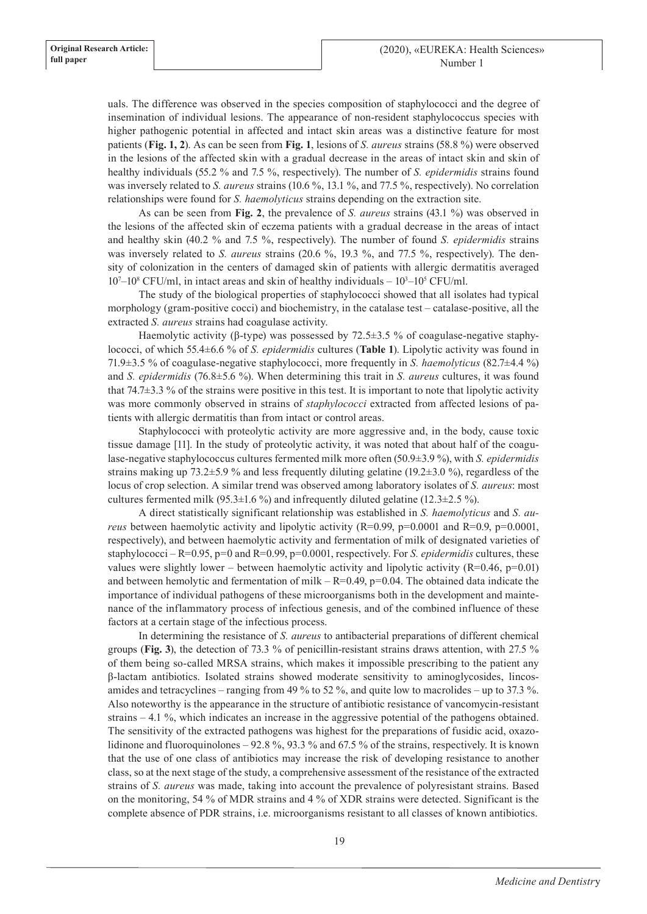uals. The difference was observed in the species composition of staphylococci and the degree of insemination of individual lesions. The appearance of non-resident staphylococcus species with higher pathogenic potential in affected and intact skin areas was a distinctive feature for most patients (**Fig. 1, 2**). As can be seen from **Fig. 1**, lesions of *S. aureus* strains (58.8 %) were observed in the lesions of the affected skin with a gradual decrease in the areas of intact skin and skin of healthy individuals (55.2 % and 7.5 %, respectively). The number of *S. epidermidis* strains found was inversely related to *S. aureus* strains (10.6 %, 13.1 %, and 77.5 %, respectively). No correlation relationships were found for *S. haemolyticus* strains depending on the extraction site.

As can be seen from **Fig. 2**, the prevalence of *S. aureus* strains (43.1 %) was observed in the lesions of the affected skin of eczema patients with a gradual decrease in the areas of intact and healthy skin (40.2 % and 7.5 %, respectively). The number of found *S. epidermidis* strains was inversely related to *S. aureus* strains (20.6 %, 19.3 %, and 77.5 %, respectively). The density of colonization in the centers of damaged skin of patients with allergic dermatitis averaged 10<sup>7</sup>–10<sup>8</sup> CFU/ml, in intact areas and skin of healthy individuals – 10<sup>3</sup>–10<sup>5</sup> CFU/ml.

The study of the biological properties of staphylococci showed that all isolates had typical morphology (gram-positive cocci) and biochemistry, in the catalase test – catalase-positive, all the extracted *S. aureus* strains had coagulase activity.

Haemolytic activity (β-type) was possessed by  $72.5\pm3.5$  % of coagulase-negative staphylococci, of which 55.4±6.6 % of *S. epidermidis* cultures (**Table 1**). Lipolytic activity was found in 71.9±3.5 % of coagulase-negative staphylococci, more frequently in *S. haemolyticus* (82.7±4.4 %) and *S. epidermidis* (76.8±5.6 %). When determining this trait in *S. aureus* cultures, it was found that 74.7±3.3 % of the strains were positive in this test. It is important to note that lipolytic activity was more commonly observed in strains of *staphylococci* extracted from affected lesions of patients with allergic dermatitis than from intact or control areas.

Staphylococci with proteolytic activity are more aggressive and, in the body, cause toxic tissue damage [11]. In the study of proteolytic activity, it was noted that about half of the coagulase-negative staphylococcus cultures fermented milk more often (50.9±3.9 %), with *S. epidermidis* strains making up 73.2 $\pm$ 5.9 % and less frequently diluting gelatine (19.2 $\pm$ 3.0 %), regardless of the locus of crop selection. A similar trend was observed among laboratory isolates of *S. aureus*: most cultures fermented milk (95.3 $\pm$ 1.6 %) and infrequently diluted gelatine (12.3 $\pm$ 2.5 %).

A direct statistically significant relationship was established in *S. haemolyticus* and *S. aureus* between haemolytic activity and lipolytic activity  $(R=0.99, p=0.0001$  and  $R=0.9, p=0.0001$ , respectively), and between haemolytic activity and fermentation of milk of designated varieties of staphylococci –  $R=0.95$ , p=0 and  $R=0.99$ , p=0.0001, respectively. For *S. epidermidis* cultures, these values were slightly lower – between haemolytic activity and lipolytic activity (R=0.46, p=0.01) and between hemolytic and fermentation of milk –  $R=0.49$ ,  $p=0.04$ . The obtained data indicate the importance of individual pathogens of these microorganisms both in the development and maintenance of the inflammatory process of infectious genesis, and of the combined influence of these factors at a certain stage of the infectious process.

In determining the resistance of *S. aureus* to antibacterial preparations of different chemical groups (**Fig. 3**), the detection of 73.3 % of penicillin-resistant strains draws attention, with 27.5 % of them being so-called MRSA strains, which makes it impossible prescribing to the patient any β-lactam antibiotics. Isolated strains showed moderate sensitivity to aminoglycosides, lincosamides and tetracyclines – ranging from 49 % to 52 %, and quite low to macrolides – up to 37.3 %. Also noteworthy is the appearance in the structure of antibiotic resistance of vancomycin-resistant strains – 4.1 %, which indicates an increase in the aggressive potential of the pathogens obtained. The sensitivity of the extracted pathogens was highest for the preparations of fusidic acid, oxazolidinone and fluoroquinolones – 92.8 %, 93.3 % and 67.5 % of the strains, respectively. It is known that the use of one class of antibiotics may increase the risk of developing resistance to another class, so at the next stage of the study, a comprehensive assessment of the resistance of the extracted strains of *S. aureus* was made, taking into account the prevalence of polyresistant strains. Based on the monitoring, 54 % of MDR strains and 4 % of XDR strains were detected. Significant is the complete absence of PDR strains, i.e. microorganisms resistant to all classes of known antibiotics.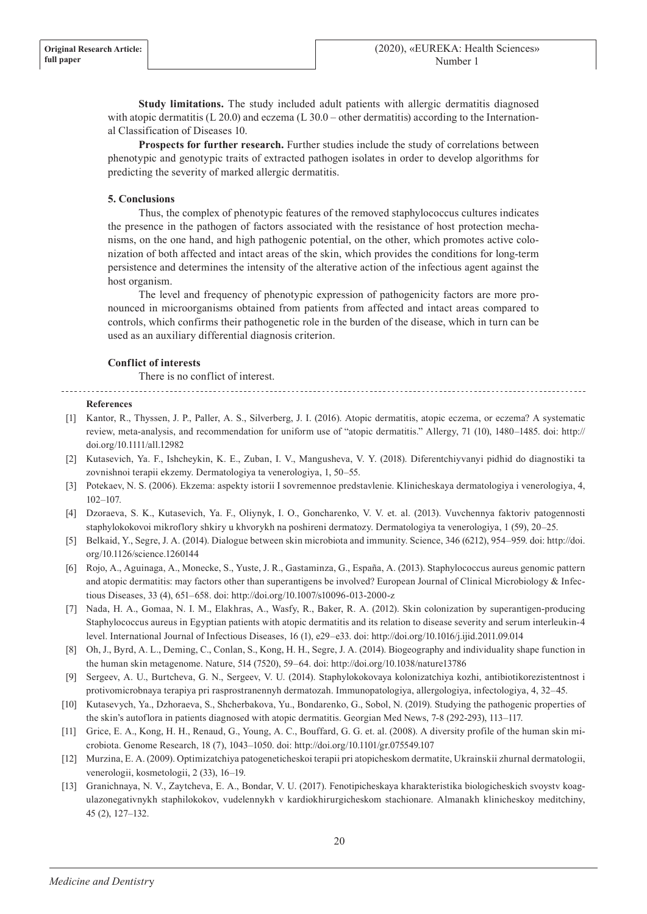**Study limitations.** The study included adult patients with allergic dermatitis diagnosed with atopic dermatitis (L 20.0) and eczema (L 30.0 – other dermatitis) according to the International Classification of Diseases 10.

**Prospects for further research.** Further studies include the study of correlations between phenotypic and genotypic traits of extracted pathogen isolates in order to develop algorithms for predicting the severity of marked allergic dermatitis.

## **5. Conclusions**

Thus, the complex of phenotypic features of the removed staphylococcus cultures indicates the presence in the pathogen of factors associated with the resistance of host protection mechanisms, on the one hand, and high pathogenic potential, on the other, which promotes active colonization of both affected and intact areas of the skin, which provides the conditions for long-term persistence and determines the intensity of the alterative action of the infectious agent against the host organism.

The level and frequency of phenotypic expression of pathogenicity factors are more pronounced in microorganisms obtained from patients from affected and intact areas compared to controls, which confirms their pathogenetic role in the burden of the disease, which in turn can be used as an auxiliary differential diagnosis criterion.

#### **Conflict of interests**

There is no conflict of interest.

#### **References**

- [1] Kantor, R., Thyssen, J. P., Paller, A. S., Silverberg, J. I. (2016). Atopic dermatitis, atopic eczema, or eczema? A systematic review, meta-analysis, and recommendation for uniform use of "atopic dermatitis." Allergy, 71 (10), 1480–1485. doi: http:// doi.org/10.1111/all.12982
- [2] Kutasevich, Ya. F., Ishcheykin, K. E., Zuban, I. V., Mangusheva, V. Y. (2018). Diferentchiyvanyi pidhid do diagnostiki ta zovnishnoi terapii ekzemy. Dermatologiya ta venerologiya, 1, 50–55.
- [3] Potekaev, N. S. (2006). Ekzema: aspekty istorii I sovremennoe predstavlenie. Klinicheskaya dermatologiya i venerologiya, 4, 102–107.
- [4] Dzoraeva, S. K., Kutasevich, Ya. F., Oliynyk, I. O., Goncharenko, V. V. et. al. (2013). Vuvchennya faktoriv patogennosti staphylokokovoi mikroflory shkiry u khvorykh na poshireni dermatozy. Dermatologiya ta venerologiya, 1 (59), 20–25.
- [5] Belkaid, Y., Segre, J. A. (2014). Dialogue between skin microbiota and immunity. Science, 346 (6212), 954–959. doi: http://doi. org/10.1126/science.1260144
- [6] Rojo, A., Aguinaga, A., Monecke, S., Yuste, J. R., Gastaminza, G., España, A. (2013). Staphylococcus aureus genomic pattern and atopic dermatitis: may factors other than superantigens be involved? European Journal of Clinical Microbiology & Infectious Diseases, 33 (4), 651–658. doi: http://doi.org/10.1007/s10096-013-2000-z
- [7] Nada, H. A., Gomaa, N. I. M., Elakhras, A., Wasfy, R., Baker, R. A. (2012). Skin colonization by superantigen-producing Staphylococcus aureus in Egyptian patients with atopic dermatitis and its relation to disease severity and serum interleukin-4 level. International Journal of Infectious Diseases, 16 (1), e29–e33. doi: http://doi.org/10.1016/j.ijid.2011.09.014
- [8] Oh, J., Byrd, A. L., Deming, C., Conlan, S., Kong, H. H., Segre, J. A. (2014). Biogeography and individuality shape function in the human skin metagenome. Nature, 514 (7520), 59–64. doi: http://doi.org/10.1038/nature13786
- [9] Sergeev, A. U., Burtcheva, G. N., Sergeev, V. U. (2014). Staphylokokovaya kolonizatchiya kozhi, antibiotikorezistentnost i protivomicrobnaya terapiya pri rasprostranennyh dermatozah. Immunopatologiya, allergologiya, infectologiya, 4, 32–45.
- [10] Kutasevych, Ya., Dzhoraeva, S., Shcherbakova, Yu., Bondarenko, G., Sobol, N. (2019). Studying the pathogenic properties of the skin's autoflora in patients diagnosed with atopic dermatitis. Georgian Med News, 7-8 (292-293), 113–117.
- [11] Grice, E. A., Kong, H. H., Renaud, G., Young, A. C., Bouffard, G. G. et. al. (2008). A diversity profile of the human skin microbiota. Genome Research, 18 (7), 1043–1050. doi: http://doi.org/10.1101/gr.075549.107
- [12] Murzina, E. A. (2009). Optimizatchiya patogeneticheskoi terapii pri atopicheskom dermatite, Ukrainskii zhurnal dermatologii, venerologii, kosmetologii, 2 (33), 16–19.
- [13] Granichnaya, N. V., Zaytcheva, E. A., Bondar, V. U. (2017). Fenotipicheskaya kharakteristika biologicheskich svoystv koagulazonegativnykh staphilokokov, vudelennykh v kardiokhirurgicheskom stachionare. Almanakh klinicheskoy meditchiny, 45 (2), 127–132.